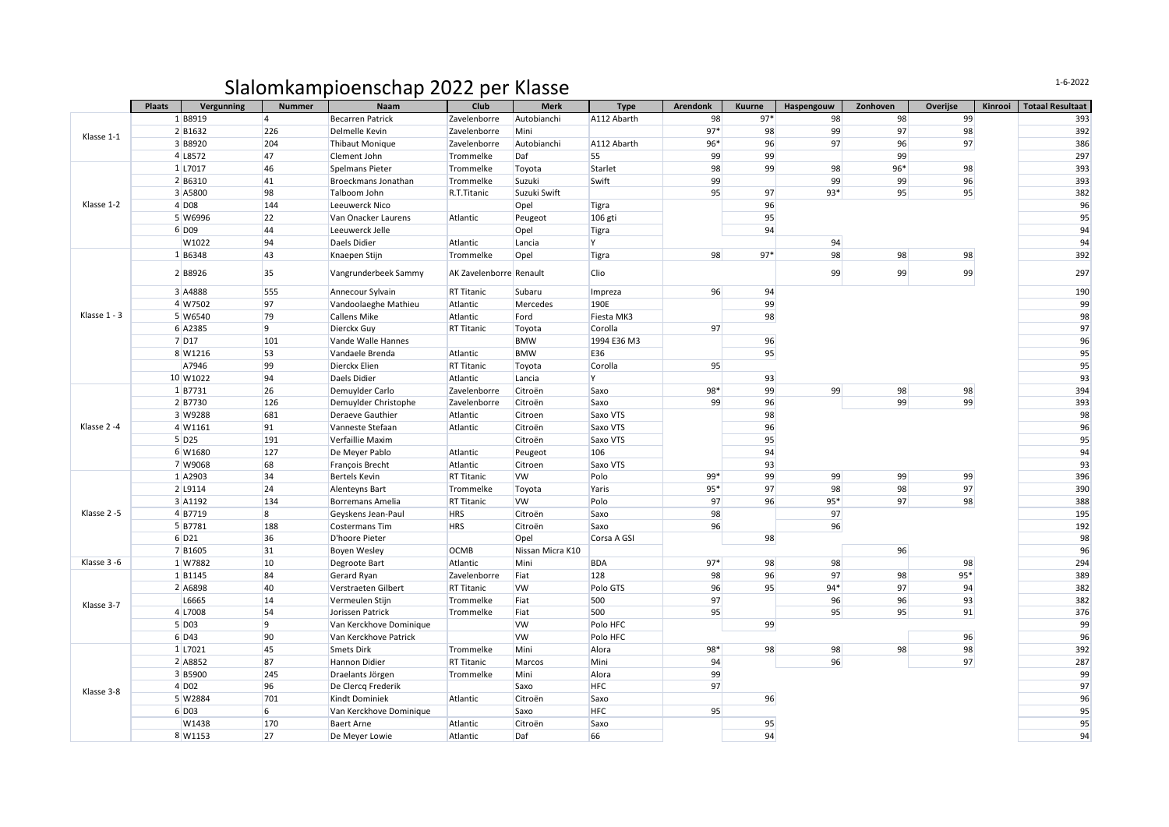## Slalomkampioenschap 2022 per Klasse

|              | <b>Plaats</b>     | Vergunning          | <b>Nummer</b>           | Naam                    | Club                    | <b>Merk</b>      | <b>Type</b> | <b>Arendonk</b> | Kuurne | Haspengouw | Zonhoven | Overijse | Kinrooi | <b>Totaal Resultaat</b> |
|--------------|-------------------|---------------------|-------------------------|-------------------------|-------------------------|------------------|-------------|-----------------|--------|------------|----------|----------|---------|-------------------------|
| Klasse 1-1   | 1 B8919           |                     | $\overline{4}$          | <b>Becarren Patrick</b> | Zavelenborre            | Autobianchi      | A112 Abarth | 98              | $97*$  | 98         | 98       | 99       |         | 393                     |
|              | 2 B1632           |                     | 226                     | Delmelle Kevin          | Zavelenborre            | Mini             |             | $97*$           | 98     | 99         | 97       | 98       |         | 392                     |
|              | 3 B8920           |                     | 204                     | Thibaut Monique         | Zavelenborre            | Autobianchi      | A112 Abarth | 96*             | 96     | 97         | 96       | 97       |         | 386                     |
|              | 4 L8572           |                     | 47                      | Clement John            | Trommelke               | Daf              | 55          | 99              | 99     |            | 99       |          |         | 297                     |
| Klasse 1-2   | 1 L7017           |                     | 46                      | Spelmans Pieter         | Trommelke               | Toyota           | Starlet     | 98              | 99     | 98         | 96*      | 98       |         | 393                     |
|              |                   | 2 B6310             | 41                      | Broeckmans Jonathan     | Trommelke               | Suzuki           | Swift       | 99              |        | 99         | 99       | 96       |         | 393                     |
|              |                   | 3 A5800             | 98                      | Talboom John            | R.T.Titanic             | Suzuki Swift     |             | 95              | 97     | 93*        | 95       | 95       |         | 382                     |
|              |                   | $4$ D <sub>08</sub> | 144                     | Leeuwerck Nico          |                         | Opel             | Tigra       |                 | 96     |            |          |          |         | 96                      |
|              |                   | 5 W6996             | 22                      | Van Onacker Laurens     | Atlantic                | Peugeot          | 106 gti     |                 | 95     |            |          |          |         | 95                      |
|              |                   | 6 D <sub>09</sub>   | 44                      | Leeuwerck Jelle         |                         | Opel             | Tigra       |                 | 94     |            |          |          |         | 94                      |
|              |                   | W1022               | 94                      | Daels Didier            | Atlantic                | Lancia           | lY.         |                 |        | 94         |          |          |         | 94                      |
|              |                   | 1 B6348             | 43                      | Knaepen Stijn           | Trommelke               | Opel             | Tigra       | 98              | $97*$  | 98         | 98       | 98       |         | 392                     |
|              | 2 B8926           |                     | 35                      | Vangrunderbeek Sammy    | AK Zavelenborre Renault |                  | <b>Clio</b> |                 |        | 99         | 99       | 99       |         | 297                     |
|              | 3 A4888           |                     | 555                     | Annecour Sylvain        | <b>RT Titanic</b>       | Subaru           | Impreza     | 96              | 94     |            |          |          |         | 190                     |
| Klasse 1 - 3 | 4 W7502           |                     | 97                      | Vandoolaeghe Mathieu    | Atlantic                | Mercedes         | 190E        |                 | 99     |            |          |          |         | 99                      |
|              | 5 W6540           |                     | 79                      | Callens Mike            | Atlantic                | Ford             | Fiesta MK3  |                 | 98     |            |          |          |         | 98                      |
|              | 6 A2385           |                     | 9                       | Dierckx Guy             | <b>RT Titanic</b>       | Toyota           | Corolla     | 97              |        |            |          |          |         | 97                      |
|              | 7 D17             |                     | 101                     | Vande Walle Hannes      |                         | <b>BMW</b>       | 1994 E36 M3 |                 | 96     |            |          |          |         | 96                      |
|              | 8 W1216           |                     | 53                      | Vandaele Brenda         | Atlantic                | <b>BMW</b>       | E36         |                 | 95     |            |          |          |         | 95                      |
|              | A7946             |                     | 99                      | Dierckx Elien           | <b>RT Titanic</b>       | Toyota           | Corolla     | 95              |        |            |          |          |         | 95                      |
|              |                   | 10 W1022            | 94                      | Daels Didier            | Atlantic                | Lancia           | İΥ.         |                 | 93     |            |          |          |         | 93                      |
| Klasse 2-4   |                   | 1B7731              | 26                      | Demuylder Carlo         | Zavelenborre            | Citroën          | Saxo        | 98*             | 99     | 99         | 98       | 98       |         | 394                     |
|              | 2 B7730           |                     | 126                     | Demuylder Christophe    | Zavelenborre            | Citroën          | Saxo        | 99              | 96     |            | 99       | 99       |         | 393                     |
|              | 3 W9288           |                     | 681                     | Deraeve Gauthier        | Atlantic                | Citroen          | Saxo VTS    |                 | 98     |            |          |          |         | 98                      |
|              |                   | 4 W1161             | 91                      | Vanneste Stefaan        | Atlantic                | Citroën          | Saxo VTS    |                 | 96     |            |          |          |         | 96                      |
|              |                   | $5$ D <sub>25</sub> | 191                     | Verfaillie Maxim        |                         | Citroën          | Saxo VTS    |                 | 95     |            |          |          |         | 95                      |
|              |                   | 6 W1680             | 127                     | De Meyer Pablo          | Atlantic                | Peugeot          | 106         |                 | 94     |            |          |          |         | 94                      |
|              |                   | 7 W9068             | 68                      | François Brecht         | Atlantic                | Citroen          | Saxo VTS    |                 | 93     |            |          |          |         | 93                      |
| Klasse 2-5   |                   | 1 A2903             | 34                      | <b>Bertels Kevin</b>    | <b>RT Titanic</b>       | <b>VW</b>        | Polo        | 99*             | 99     | 99         | 99       | 99       |         | 396                     |
|              |                   | 2 L9114             | 24                      | Alenteyns Bart          | Trommelke               | Toyota           | Yaris       | 95*             | 97     | 98         | 98       | 97       |         | 390                     |
|              |                   | 3 A1192             | 134                     | Borremans Amelia        | <b>RT Titanic</b>       | <b>VW</b>        | Polo        | 97              | 96     | $95*$      | 97       | 98       |         | 388                     |
|              |                   | 4B7719              | $\overline{\mathbf{8}}$ | Geyskens Jean-Paul      | <b>HRS</b>              | Citroën          | Saxo        | 98              |        | 97         |          |          |         | 195                     |
|              |                   | 5 B7781             | 188                     | Costermans Tim          | <b>HRS</b>              | Citroën          | Saxo        | 96              |        | 96         |          |          |         | 192                     |
|              | 6 D <sub>21</sub> |                     | 36                      | D'hoore Pieter          |                         | Opel             | Corsa A GSI |                 | 98     |            |          |          |         | 98                      |
|              |                   | 7 B1605             | 31                      | <b>Boyen Wesley</b>     | <b>OCMB</b>             | Nissan Micra K10 |             |                 |        |            | 96       |          |         | 96                      |
| Klasse 3-6   |                   | 1 W7882             | 10                      | Degroote Bart           | Atlantic                | Mini             | <b>BDA</b>  | $97*$           | 98     | 98         |          | 98       |         | 294                     |
| Klasse 3-7   |                   | 1 B1145             | 84                      | Gerard Ryan             | Zavelenborre            | Fiat             | 128         | 98              | 96     | 97         | 98       | $95*$    |         | 389                     |
|              |                   | 2 A6898             | 40                      | Verstraeten Gilbert     | <b>RT Titanic</b>       | <b>VW</b>        | Polo GTS    | 96              | 95     | $94*$      | 97       | 94       |         | 382                     |
|              |                   | L6665               | 14                      | Vermeulen Stijn         | Trommelke               | Fiat             | 500         | 97              |        | 96         | 96       | 93       |         | 382                     |
|              |                   | 4 L7008             | 54                      | Jorissen Patrick        | Trommelke               | Fiat             | 500         | 95              |        | 95         | 95       | 91       |         | 376                     |
|              |                   | $5$ D <sub>03</sub> | 9                       | Van Kerckhove Dominique |                         | <b>VW</b>        | Polo HFC    |                 | 99     |            |          |          |         | 99                      |
| Klasse 3-8   |                   | 6 D43               | 90                      | Van Kerckhove Patrick   |                         | <b>VW</b>        | Polo HFC    |                 |        |            |          | 96       |         | 96                      |
|              |                   | 1 L7021             | 45                      | Smets Dirk              | Trommelke               | Mini             | Alora       | 98*             | 98     | 98         | 98       | 98       |         | 392                     |
|              |                   | 2 A8852             | 87                      | Hannon Didier           | <b>RT Titanic</b>       | Marcos           | Mini        | 94              |        | 96         |          | 97       |         | 287                     |
|              |                   | 3 B5900             | 245                     | Draelants Jörgen        | Trommelke               | Mini             | Alora       | 99              |        |            |          |          |         | 99                      |
|              |                   | $4$ DO <sub>2</sub> | 96                      | De Clercq Frederik      |                         | Saxo             | <b>HFC</b>  | 97              |        |            |          |          |         | 97                      |
|              |                   | 5 W2884             | 701                     | Kindt Dominiek          | Atlantic                | Citroën          | Saxo        |                 | 96     |            |          |          |         | 96                      |
|              |                   | 6 D <sub>03</sub>   | 6                       | Van Kerckhove Dominique |                         | Saxo             | <b>HFC</b>  | 95              |        |            |          |          |         | 95                      |
|              |                   | W1438               | 170                     | <b>Baert Arne</b>       | Atlantic                | Citroën          | Saxo        |                 | 95     |            |          |          |         | 95                      |
|              |                   | 8 W1153             | 27                      | De Meyer Lowie          | Atlantic                | Daf              | 66          |                 | 94     |            |          |          |         | 94                      |

1-6-2022